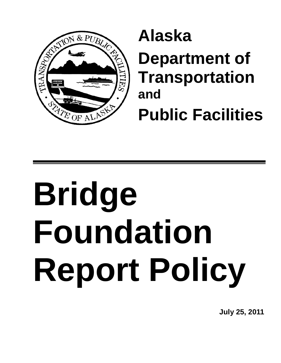

## **Alaska Department of Transportation and Public Facilities**

# **Bridge Foundation Report Policy**

**July 25, 2011**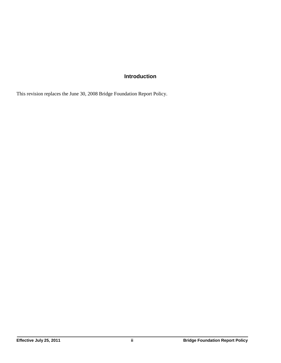#### **Introduction**

This revision replaces the June 30, 2008 Bridge Foundation Report Policy.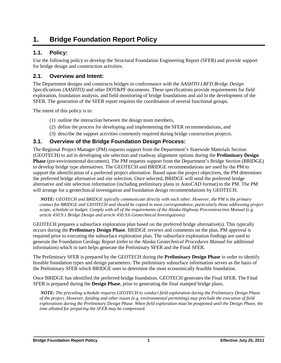### **1. Bridge Foundation Report Policy**

#### **1.1. Policy:**

Use the following policy to develop the Structural Foundation Engineering Report (SFER) and provide support for bridge design and construction activities.

#### **2.1. Overview and Intent:**

The Department designs and constructs bridges in conformance with the *AASHTO LRFD Bridge Design Specifications (AASHTO)* and other DOT&PF documents. These specifications provide requirements for field exploration, foundation analysis, and field monitoring of bridge foundations and aid in the development of the SFER. The generation of the SFER report requires the coordination of several functional groups.

The intent of this policy is to:

- (1) outline the interaction between the design team members,
- (2) define the process for developing and implementing the SFER recommendations, and
- (3) describe the support activities commonly required during bridge construction projects.

#### **3.1. Overview of the Bridge Foundation Design Process:**

The Regional Project Manager (PM) requests support from the Department's Statewide Materials Section (GEOTECH) to aid in developing site selection and roadway alignment options during the **Preliminary Design Phase** (pre-environmental document). The PM requests support from the Department's Bridge Section (BRIDGE) to develop bridge type alternatives. The GEOTECH and BRIDGE recommendations are used by the PM to support the identification of a preferred project alternative. Based upon the project objectives, the PM determines the preferred bridge alternative and site selection. Once selected, BRIDGE will send the preferred bridge alternative and site selection information (including preliminary plans in AutoCAD format) to the PM. The PM will arrange for a geotechnical investigation and foundation design recommendations by GEOTECH.

*NOTE: GEOTECH and BRIDGE typically communicate directly with each other. However, the PM is the primary contact for BRIDGE and GEOTECH and should be copied in most correspondence, particularly those addressing project scope, schedule or budget. Comply with all of the requirements of the Alaska Highway Preconstruction Manual (e.g. article 450.9.1 Bridge Design and article 450.9.6 Geotechnical Investigations).*

GEOTECH prepares a subsurface exploration plan based on the preferred bridge alternative(s). This typically occurs during the **Preliminary Design Phase**. BRIDGE reviews and comments on the plan. PM approval is required prior to executing the subsurface exploration plan. The subsurface exploration findings are used to generate the Foundation Geology Report (refer to the *Alaska Geotechnical Procedures Manual* for additional information) which in turn helps generate the Preliminary SFER and the Final SFER.

The Preliminary SFER is prepared by the GEOTECH during the **Preliminary Design Phase** in order to identify feasible foundation types and design parameters. The preliminary subsurface information serves as the basis of the Preliminary SFER which BRIDGE uses to determine the most economically feasible foundation.

Once BRIDGE has identified the preferred bridge foundation, GEOTECH generates the Final SFER. The Final SFER is prepared during the **Design Phase**, prior to generating the final stamped bridge plans.

*NOTE: The preceding schedule requires GEOTECH to conduct field exploration during the Preliminary Design Phase of the project. However, funding and other issues (e.g. environmental permitting) may preclude the execution of field explorations during the Preliminary Design Phase. When field exploration must be postponed until the Design Phase, the time allotted for preparing the SFER may be compressed.*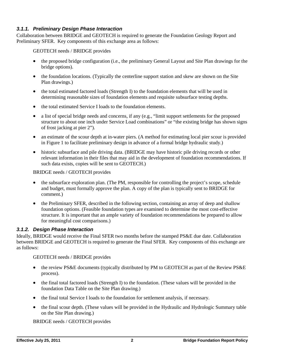#### *3.1.1. Preliminary Design Phase Interaction*

Collaboration between BRIDGE and GEOTECH is required to generate the Foundation Geology Report and Preliminary SFER. Key components of this exchange area as follows:

GEOTECH needs / BRIDGE provides

- the proposed bridge configuration (i.e., the preliminary General Layout and Site Plan drawings for the bridge options).
- the foundation locations. (Typically the centerline support station and skew are shown on the Site Plan drawings.)
- the total estimated factored loads (Strength I) to the foundation elements that will be used in determining reasonable sizes of foundation elements and requisite subsurface testing depths.
- the total estimated Service I loads to the foundation elements.
- a list of special bridge needs and concerns, if any (e.g., "limit support settlements for the proposed structure to about one inch under Service Load combinations" or "the existing bridge has shown signs of frost jacking at pier 2").
- an estimate of the scour depth at in-water piers. (A method for estimating local pier scour is provided in Figure 1 to facilitate preliminary design in advance of a formal bridge hydraulic study.)
- historic subsurface and pile driving data. (BRIDGE may have historic pile driving records or other relevant information in their files that may aid in the development of foundation recommendations. If such data exists, copies will be sent to GEOTECH.)

BRIDGE needs / GEOTECH provides

- the subsurface exploration plan. (The PM, responsible for controlling the project's scope, schedule and budget, must formally approve the plan. A copy of the plan is typically sent to BRIDGE for comment.)
- the Preliminary SFER, described in the following section, containing an array of deep and shallow foundation options. (Feasible foundation types are examined to determine the most cost-effective structure. It is important that an ample variety of foundation recommendations be prepared to allow for meaningful cost comparisons.)

#### *3.1.2. Design Phase Interaction*

Ideally, BRIDGE would receive the Final SFER two months before the stamped PS&E due date. Collaboration between BRIDGE and GEOTECH is required to generate the Final SFER. Key components of this exchange are as follows:

GEOTECH needs / BRIDGE provides

- the review PS&E documents (typically distributed by PM to GEOTECH as part of the Review PS&E process).
- the final total factored loads (Strength I) to the foundation. (These values will be provided in the foundation Data Table on the Site Plan drawing.)
- the final total Service I loads to the foundation for settlement analysis, if necessary.
- the final scour depth. (These values will be provided in the Hydraulic and Hydrologic Summary table on the Site Plan drawing.)

BRIDGE needs / GEOTECH provides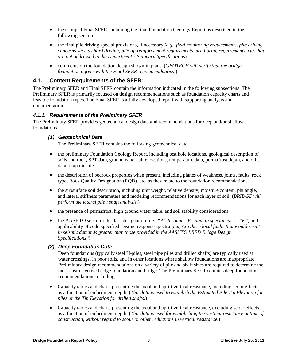- the stamped Final SFER containing the final Foundation Geology Report as described in the following section.
- the final pile driving special provisions, if necessary (*e.g., field monitoring requirements, pile driving concerns such as hard driving, pile tip reinforcement requirements, pre-boring requirements, etc. that are not addressed in the Department's Standard Specifications*).
- comments on the foundation design shown in plans. (*GEOTECH will verify that the bridge foundation agrees with the Final SFER recommendations.*)

#### **4.1. Content Requirements of the SFER:**

The Preliminary SFER and Final SFER contain the information indicated in the following subsections. The Preliminary SFER is primarily focused on design recommendations such as foundation capacity charts and feasible foundation types. The Final SFER is a fully developed report with supporting analysis and documentation.

#### *4.1.1. Requirements of the Preliminary SFER*

The Preliminary SFER provides geotechnical design data and recommendations for deep and/or shallow foundations.

#### *(1) Geotechnical Data*

The Preliminary SFER contains the following geotechnical data.

- the preliminary Foundation Geology Report, including test hole locations, geological description of soils and rock, SPT data, ground water table locations, temperature data, permafrost depth, and other data as applicable.
- the description of bedrock properties when present, including planes of weakness, joints, faults, rock type, Rock Quality Designation (RQD), etc. as they relate to the foundation recommendations.
- the subsurface soil description, including unit weight, relative density, moisture content, phi angle, and lateral stiffness parameters and modeling recommendations for each layer of soil. (*BRIDGE will perform the lateral pile / shaft analysis.*)
- the presence of permafrost, high ground water table, and soil stability considerations.
- the AASHTO seismic site class designation (*i.e., "A" through "E" and, in special cases, "F")* and applicability of code-specified seismic response spectra (*i.e., Are there local faults that would result in seismic demands greater than those provided in the AASHTO LRFD Bridge Design Specifications?*).

#### *(2) Deep Foundation Data*

Deep foundations (typically steel H-piles, steel pipe piles and drilled shafts) are typically used at water crossings, in poor soils, and in other locations where shallow foundations are inappropriate. Preliminary design recommendations on a variety of pile and shaft sizes are required to determine the most cost-effective bridge foundation and bridge. The Preliminary SFER contains deep foundation recommendations including:

- Capacity tables and charts presenting the axial and uplift vertical resistance, including scour effects, as a function of embedment depth. (*This data is used to establish the Estimated Pile Tip Elevation for piles or the Tip Elevation for drilled shafts.*)
- Capacity tables and charts presenting the axial and uplift vertical resistance, excluding scour effects, as a function of embedment depth. (*This data is used for establishing the vertical resistance at time of construction, without regard to scour or other reductions in vertical resistance.*)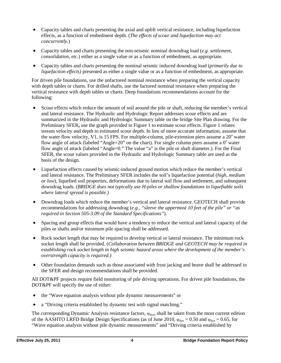- Capacity tables and charts presenting the axial and uplift vertical resistance, including liquefaction effects, as a function of embedment depth. (*The effects of scour and liquefaction may act concurrently.*)
- Capacity tables and charts presenting the non-seismic nominal downdrag load (*e.g. settlement, consolidation, etc.*) either as a single value or as a function of embedment, as appropriate.
- Capacity tables and charts presenting the nominal seismic induced downdrag load (*primarily due to liquefaction effects)* presented as either a single value or as a function of embedment, as appropriate.

For driven pile foundations, use the unfactored nominal resistance when preparing the vertical capacity with depth tables or charts. For drilled shafts, use the factored nominal resistance when preparing the vertical resistance with depth tables or charts. Deep foundations recommendations account for the following:

- Scour effects which reduce the amount of soil around the pile or shaft, reducing the member's vertical and lateral resistance. The Hydraulic and Hydrologic Report addresses scour effects and are summarized in the Hydraulic and Hydrologic Summary table on the bridge Site Plan drawing. For the Preliminary SFER**,** use the graph provided in Figure 1 to estimate scour effects. Figure 1 relates stream velocity and depth to estimated scour depth. In lieu of more accurate information, assume that the water flow velocity, V1, is 15 FPS. For multiple-column, pile-extension piers assume a  $20^{\circ}$  water flow angle of attack (labeled "Angle=20" on the chart). For single column piers assume a  $0^{\circ}$  water flow angle of attack (labeled "Angle=0." The value "a" is the pile or shaft diameter.). For the Final SFER, the scour values provided in the Hydraulic and Hydrologic Summary table are used as the basis of the design.
- Liquefaction effects caused by seismic-induced ground motion which reduce the member's vertical and lateral resistance. The Preliminary SFER includes the soil's liquefaction potential (*high, medium or low*), liquefied soil properties, deformations due to lateral soil flow and settlement, and subsequent downdrag loads. (*BRIDGE does not typically use H-piles or shallow foundations in liquefiable soils where lateral spread is possible.)*
- Downdrag loads which reduce the member's vertical and lateral resistance. GEOTECH shall provide recommendations for addressing downdrag (*e.g., "sleeve the uppermost 10 feet of the pile" or "as required in Section 505-3.09 of the Standard Specifications"*).
- Spacing and group effects that would have a tendency to reduce the vertical and lateral capacity of the piles or shafts and/or minimum pile spacing shall be addressed.
- Rock socket length that may be required to develop vertical or lateral resistance. The minimum rock socket length shall be provided. (*Collaboration between BRIDGE and GEOTECH may be required in establishing rock socket length in high seismic hazard areas where the development of the member's overstrength capacity is required.)*
- Other foundation demands such as those associated with frost jacking and heave shall be addressed in the SFER and design recommendations shall be provided.

All DOT&PF projects require field monitoring of pile driving operations. For driven pile foundations, the DOT&PF will specify the use of either:

- the "Wave equation analysis without pile dynamic measurements" or
- a "Driving criteria established by dynamic test with signal matching."

The corresponding Dynamic Analysis resistance factors,  $\varphi_{dyn}$ , shall be taken from the most current edition of the AASHTO LRFD Bridge Design Specifications (as of June 2010,  $\varphi_{dyn} = 0.50$  and  $\varphi_{dyn} = 0.65$ , for "Wave equation analysis without pile dynamic measurements" and "Driving criteria established by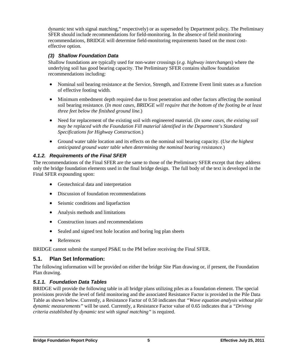dynamic test with signal matching," respectively) or as superseded by Department policy. The Preliminary SFER should include recommendations for field-monitoring. In the absence of field monitoring recommendations, BRIDGE will determine field-monitoring requirements based on the most costeffective option.

#### *(3) Shallow Foundation Data*

Shallow foundations are typically used for non-water crossings (*e.g. highway interchanges*) where the underlying soil has good bearing capacity. The Preliminary SFER contains shallow foundation recommendations including:

- Nominal soil bearing resistance at the Service, Strength, and Extreme Event limit states as a function of effective footing width.
- Minimum embedment depth required due to frost penetration and other factors affecting the nominal soil bearing resistance. (*In most cases, BRIDGE will require that the bottom of the footing be at least three feet below the finished ground line.*)
- Need for replacement of the existing soil with engineered material. (*In some cases, the existing soil may be replaced with the Foundation Fill material identified in the Department's Standard Specifications for Highway Construction.*)
- Ground water table location and its effects on the nominal soil bearing capacity. (*Use the highest anticipated ground water table when determining the nominal bearing resistance.*)

#### *4.1.2. Requirements of the Final SFER*

The recommendations of the Final SFER are the same to those of the Preliminary SFER except that they address only the bridge foundation elements used in the final bridge design. The full body of the text is developed in the Final SFER expounding upon:

- Geotechnical data and interpretation
- Discussion of foundation recommendations
- Seismic conditions and liquefaction
- Analysis methods and limitations
- Construction issues and recommendations
- Sealed and signed test hole location and boring log plan sheets
- References

BRIDGE cannot submit the stamped PS&E to the PM before receiving the Final SFER.

#### **5.1. Plan Set Information:**

The following information will be provided on either the bridge Site Plan drawing or, if present, the Foundation Plan drawing.

#### *5.1.1. Foundation Data Tables*

BRIDGE will provide the following table in all bridge plans utilizing piles as a foundation element. The special provisions provide the level of field monitoring and the associated Resistance Factor is provided in the Pile Data Table as shown below. Currently, a Resistance Factor of 0.50 indicates that *"Wave equation analysis without pile dynamic measurements"* will be used. Currently, a Resistance Factor value of 0.65 indicates that a *"Driving criteria established by dynamic test with signal matching"* is required.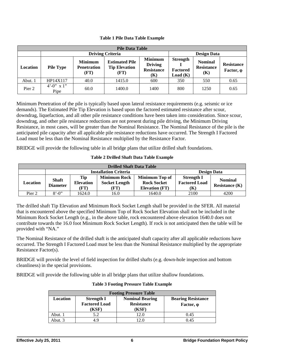| <b>Pile Data Table</b> |                              |                                              |                                                       |                                                              |                                               |                                            |                                        |
|------------------------|------------------------------|----------------------------------------------|-------------------------------------------------------|--------------------------------------------------------------|-----------------------------------------------|--------------------------------------------|----------------------------------------|
|                        | <b>Driving Criteria</b>      |                                              |                                                       |                                                              | <b>Design Data</b>                            |                                            |                                        |
| <b>Location</b>        | <b>Pile Type</b>             | <b>Minimum</b><br><b>Penetration</b><br>(FT) | <b>Estimated Pile</b><br><b>Tip Elevation</b><br>(FT) | <b>Minimum</b><br><b>Driving</b><br><b>Resistance</b><br>(K) | <b>Strength</b><br><b>Factored</b><br>Load(K) | <b>Nominal</b><br><b>Resistance</b><br>(K) | <b>Resistance</b><br>Factor, $\varphi$ |
| Abut. 1                | HP14X117                     | 40.0                                         | 1415.0                                                | 600                                                          | 350                                           | 550                                        | 0.65                                   |
| Pier 2                 | $4^{\circ}$ -0" x 1"<br>Pipe | 60.0                                         | 1400.0                                                | 1400                                                         | 800                                           | 1250                                       | 0.65                                   |

#### **Table 1 Pile Data Table Example**

Minimum Penetration of the pile is typically based upon lateral resistance requirements (e.g. seismic or ice demands). The Estimated Pile Tip Elevation is based upon the factored estimated resistance after scour, downdrag, liquefaction, and all other pile resistance conditions have been taken into consideration. Since scour, downdrag, and other pile resistance reductions are not present during pile driving, the Minimum Driving Resistance, in most cases, will be greater than the Nominal Resistance. The Nominal Resistance of the pile is the anticipated pile capacity after all applicable pile resistance reductions have occurred. The Strength I Factored Load must be less than the Nominal Resistance multiplied by the Resistance Factor.

BRIDGE will provide the following table in all bridge plans that utilize drilled shaft foundations.

#### **Table 2 Drilled Shaft Data Table Example**

| <b>Drilled Shaft Data Table</b> |                                                    |                                 |                                                     |                                                               |                                                  |                                    |
|---------------------------------|----------------------------------------------------|---------------------------------|-----------------------------------------------------|---------------------------------------------------------------|--------------------------------------------------|------------------------------------|
|                                 | <b>Design Data</b><br><b>Installation Criteria</b> |                                 |                                                     |                                                               |                                                  |                                    |
| Location                        | <b>Shaft</b><br><b>Diameter</b>                    | Tip<br><b>Elevation</b><br>(FT) | <b>Minimum Rock</b><br><b>Socket Length</b><br>(FT) | Minimum Top of<br><b>Rock Socket</b><br><b>Elevation (FT)</b> | <b>Strength I</b><br><b>Factored Load</b><br>(K) | <b>Nominal</b><br>Resistance $(K)$ |
| Pier 2                          | $8' - 0''$                                         | 1624.0                          | 16.0                                                | 1640.0                                                        | 2100                                             | 4200                               |

The drilled shaft Tip Elevation and Minimum Rock Socket Length shall be provided in the SFER. All material that is encountered above the specified Minimum Top of Rock Socket Elevation shall not be included in the Minimum Rock Socket Length (e.g., in the above table, rock encountered above elevation 1640.0 does not contribute towards the 16.0 foot Minimum Rock Socket Length). If rock is not anticipated then the table will be provided with "NA."

The Nominal Resistance of the drilled shaft is the anticipated shaft capacity after all applicable reductions have occurred. The Strength I Factored Load must be less than the Nominal Resistance multiplied by the appropriate Resistance Factor(s).

BRIDGE will provide the level of field inspection for drilled shafts (e.g. down-hole inspection and bottom cleanliness) in the special provisions.

BRIDGE will provide the following table in all bridge plans that utilize shallow foundations.

| <b>Footing Pressure Table</b> |                                                    |                                                      |                                                |  |  |
|-------------------------------|----------------------------------------------------|------------------------------------------------------|------------------------------------------------|--|--|
| Location                      | <b>Strength I</b><br><b>Factored Load</b><br>(KSF) | <b>Nominal Bearing</b><br><b>Resistance</b><br>(KSF) | <b>Bearing Resistance</b><br>Factor, $\varphi$ |  |  |
| Abut. 1                       | 5.2                                                | 2.0                                                  | 0.45                                           |  |  |
| Abut. 3                       | 4.9                                                |                                                      | 0.45                                           |  |  |

#### **Table 3 Footing Pressure Table Example**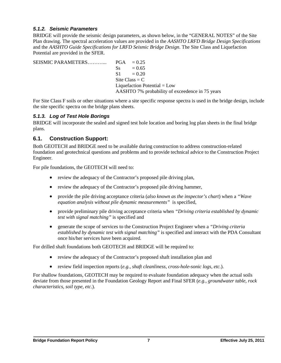#### *5.1.2. Seismic Parameters*

BRIDGE will provide the seismic design parameters, as shown below, in the "GENERAL NOTES" of the Site Plan drawing. The spectral acceleration values are provided in the *AASHTO LRFD Bridge Design Specifications* and the *AASHTO Guide Specifications for LRFD Seismic Bridge Design*. The Site Class and Liquefaction Potential are provided in the SFER.

| $\text{S}_\text{S} = 0.65$                      |
|-------------------------------------------------|
| $S1 = 0.20$                                     |
| Site Class = $C_1$                              |
| Liquefaction Potential $=$ Low                  |
| AASHTO 7% probability of exceedence in 75 years |

For Site Class F soils or other situations where a site specific response spectra is used in the bridge design, include the site specific spectra on the bridge plans sheets.

#### *5.1.3. Log of Test Hole Borings*

BRIDGE will incorporate the sealed and signed test hole location and boring log plan sheets in the final bridge plans.

#### **6.1. Construction Support:**

Both GEOTECH and BRIDGE need to be available during construction to address construction-related foundation and geotechnical questions and problems and to provide technical advice to the Construction Project Engineer.

For pile foundations, the GEOTECH will need to:

- review the adequacy of the Contractor's proposed pile driving plan,
- review the adequacy of the Contractor's proposed pile driving hammer,
- provide the pile driving acceptance criteria (*also known as the inspector's chart*) when a *"Wave equation analysis without pile dynamic measurements"* is specified,
- provide preliminary pile driving acceptance criteria when *"Driving criteria established by dynamic test with signal matching"* is specified and
- generate the scope of services to the Construction Project Engineer when a *"Driving criteria established by dynamic test with signal matching"* is specified and interact with the PDA Consultant once his/her services have been acquired.

For drilled shaft foundations both GEOTECH and BRIDGE will be required to:

- review the adequacy of the Contractor's proposed shaft installation plan and
- review field inspection reports (*e.g., shaft cleanliness, cross-hole-sonic logs, etc.*).

For shallow foundations, GEOTECH may be required to evaluate foundation adequacy when the actual soils deviate from those presented in the Foundation Geology Report and Final SFER (*e.g., groundwater table, rock characteristics, soil type, etc.*).